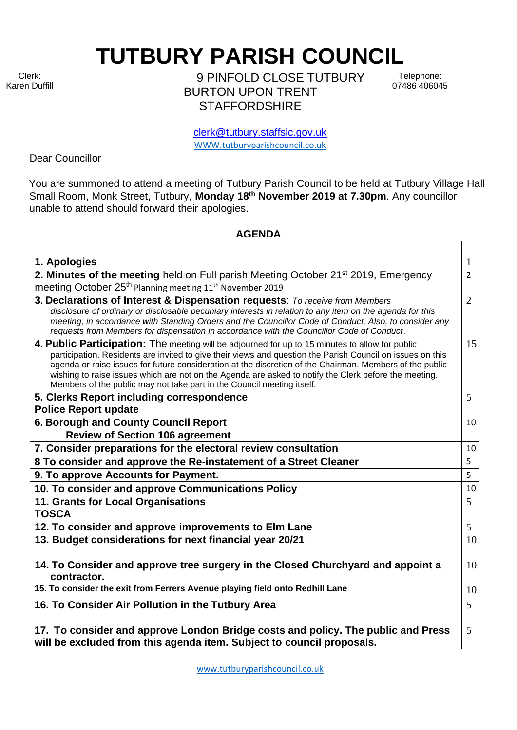Clerk: Karen Duffill **TUTBURY PARISH COUNCIL** 

9 PINFOLD CLOSE TUTBURY BURTON UPON TRENT **STAFFORDSHIRE** 

Telephone: 07486 406045

clerk@tutbury.staffslc.gov.uk [WWW.tutburyparishcouncil.co.uk](http://www.tutburyparishcouncil.co.uk/)

Dear Councillor

You are summoned to attend a meeting of Tutbury Parish Council to be held at Tutbury Village Hall Small Room, Monk Street, Tutbury, **Monday 18th November 2019 at 7.30pm**. Any councillor unable to attend should forward their apologies.

## **AGENDA**

| 1. Apologies                                                                                                                                                                                                                                                                                                                                                                                                                                                                                                 | $\mathbf{1}$    |
|--------------------------------------------------------------------------------------------------------------------------------------------------------------------------------------------------------------------------------------------------------------------------------------------------------------------------------------------------------------------------------------------------------------------------------------------------------------------------------------------------------------|-----------------|
| 2. Minutes of the meeting held on Full parish Meeting October 21 <sup>st</sup> 2019, Emergency                                                                                                                                                                                                                                                                                                                                                                                                               | $\overline{2}$  |
| meeting October 25 <sup>th</sup> Planning meeting 11 <sup>th</sup> November 2019                                                                                                                                                                                                                                                                                                                                                                                                                             |                 |
| 3. Declarations of Interest & Dispensation requests: To receive from Members<br>disclosure of ordinary or disclosable pecuniary interests in relation to any item on the agenda for this<br>meeting, in accordance with Standing Orders and the Councillor Code of Conduct. Also, to consider any<br>requests from Members for dispensation in accordance with the Councillor Code of Conduct.                                                                                                               | $\overline{2}$  |
| 4. Public Participation: The meeting will be adjourned for up to 15 minutes to allow for public<br>participation. Residents are invited to give their views and question the Parish Council on issues on this<br>agenda or raise issues for future consideration at the discretion of the Chairman. Members of the public<br>wishing to raise issues which are not on the Agenda are asked to notify the Clerk before the meeting.<br>Members of the public may not take part in the Council meeting itself. | 15              |
| 5. Clerks Report including correspondence<br><b>Police Report update</b>                                                                                                                                                                                                                                                                                                                                                                                                                                     | 5               |
| 6. Borough and County Council Report                                                                                                                                                                                                                                                                                                                                                                                                                                                                         | 10              |
| <b>Review of Section 106 agreement</b>                                                                                                                                                                                                                                                                                                                                                                                                                                                                       |                 |
| 7. Consider preparations for the electoral review consultation                                                                                                                                                                                                                                                                                                                                                                                                                                               | 10              |
| 8 To consider and approve the Re-instatement of a Street Cleaner                                                                                                                                                                                                                                                                                                                                                                                                                                             | 5               |
| 9. To approve Accounts for Payment.                                                                                                                                                                                                                                                                                                                                                                                                                                                                          | 5               |
| 10. To consider and approve Communications Policy                                                                                                                                                                                                                                                                                                                                                                                                                                                            | 10              |
| 11. Grants for Local Organisations<br><b>TOSCA</b>                                                                                                                                                                                                                                                                                                                                                                                                                                                           | 5               |
| 12. To consider and approve improvements to Elm Lane                                                                                                                                                                                                                                                                                                                                                                                                                                                         | $5\overline{)}$ |
| 13. Budget considerations for next financial year 20/21                                                                                                                                                                                                                                                                                                                                                                                                                                                      | 10              |
| 14. To Consider and approve tree surgery in the Closed Churchyard and appoint a<br>contractor.                                                                                                                                                                                                                                                                                                                                                                                                               | 10              |
| 15. To consider the exit from Ferrers Avenue playing field onto Redhill Lane                                                                                                                                                                                                                                                                                                                                                                                                                                 | 10              |
| 16. To Consider Air Pollution in the Tutbury Area                                                                                                                                                                                                                                                                                                                                                                                                                                                            | 5               |
| 17. To consider and approve London Bridge costs and policy. The public and Press<br>will be excluded from this agenda item. Subject to council proposals.                                                                                                                                                                                                                                                                                                                                                    | $5\overline{)}$ |